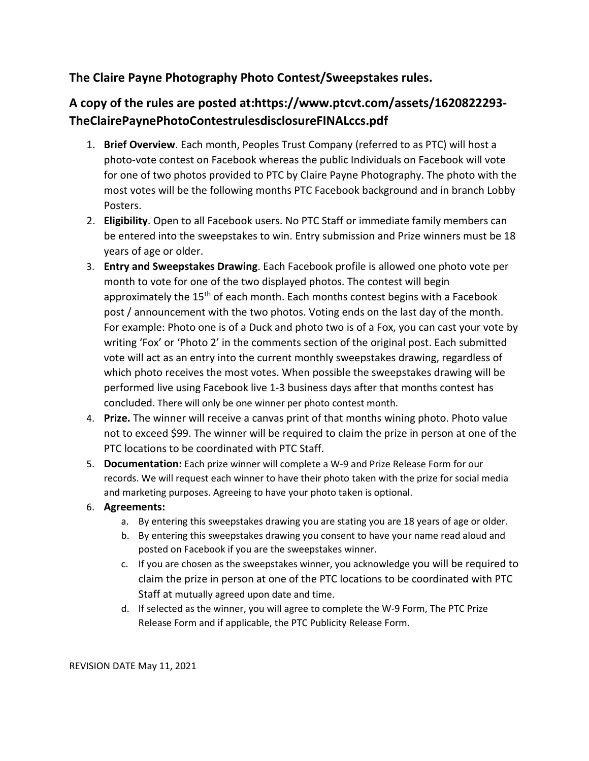## **The Claire Payne Photography Photo Contest/Sweepstakes rules.**

## **A copy of the rules are posted at:https://www.ptcvt.com/assets/1620822293- TheClairePaynePhotoContestrulesdisclosureFINALccs.pdf**

- 1. **Brief Overview**. Each month, Peoples Trust Company (referred to as PTC) will host a photo-vote contest on Facebook whereas the public Individuals on Facebook will vote for one of two photos provided to PTC by Claire Payne Photography. The photo with the most votes will be the following months PTC Facebook background and in branch Lobby Posters.
- 2. **Eligibility**. Open to all Facebook users. No PTC Staff or immediate family members can be entered into the sweepstakes to win. Entry submission and Prize winners must be 18 years of age or older.
- 3. **Entry and Sweepstakes Drawing**. Each Facebook profile is allowed one photo vote per month to vote for one of the two displayed photos. The contest will begin approximately the  $15<sup>th</sup>$  of each month. Each months contest begins with a Facebook post / announcement with the two photos. Voting ends on the last day of the month. For example: Photo one is of a Duck and photo two is of a Fox, you can cast your vote by writing 'Fox' or 'Photo 2' in the comments section of the original post. Each submitted vote will act as an entry into the current monthly sweepstakes drawing, regardless of which photo receives the most votes. When possible the sweepstakes drawing will be performed live using Facebook live 1-3 business days after that months contest has concluded. There will only be one winner per photo contest month.
- 4. **Prize.** The winner will receive a canvas print of that months wining photo. Photo value not to exceed \$99. The winner will be required to claim the prize in person at one of the PTC locations to be coordinated with PTC Staff.
- 5. **Documentation:** Each prize winner will complete a W-9 and Prize Release Form for our records. We will request each winner to have their photo taken with the prize for social media and marketing purposes. Agreeing to have your photo taken is optional.
- 6. **Agreements:**
	- a. By entering this sweepstakes drawing you are stating you are 18 years of age or older.
	- b. By entering this sweepstakes drawing you consent to have your name read aloud and posted on Facebook if you are the sweepstakes winner.
	- c. If you are chosen as the sweepstakes winner, you acknowledge you will be required to claim the prize in person at one of the PTC locations to be coordinated with PTC Staff at mutually agreed upon date and time.
	- d. If selected as the winner, you will agree to complete the W-9 Form, The PTC Prize Release Form and if applicable, the PTC Publicity Release Form.